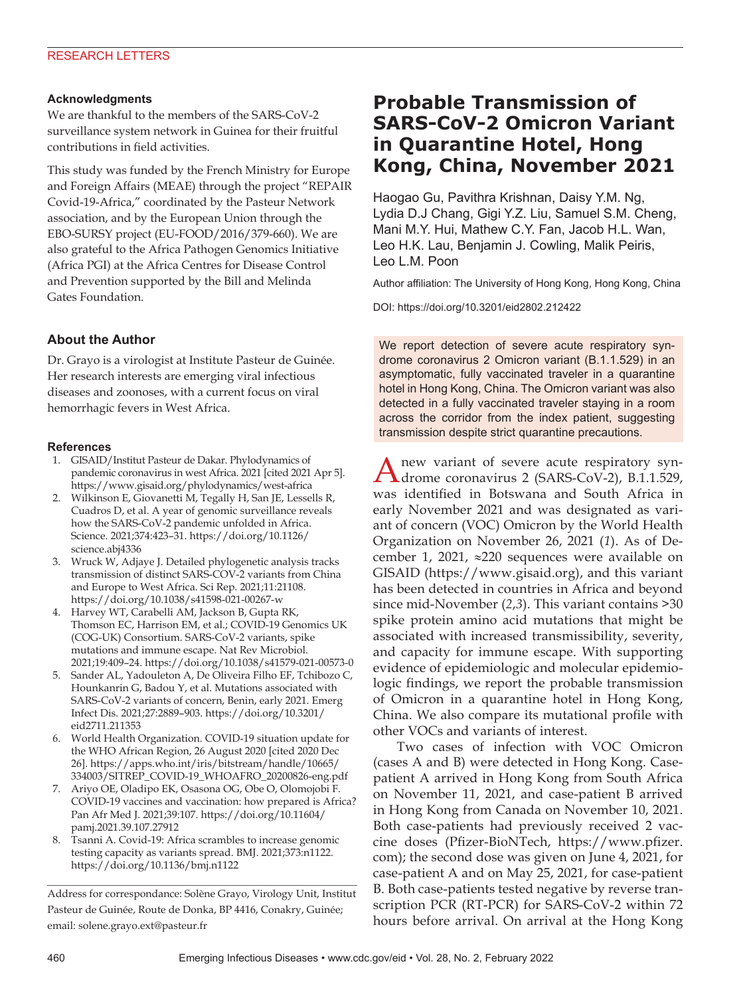### **Acknowledgments**

We are thankful to the members of the SARS-CoV-2 surveillance system network in Guinea for their fruitful contributions in field activities.

This study was funded by the French Ministry for Europe and Foreign Affairs (MEAE) through the project "REPAIR Covid-19-Africa," coordinated by the Pasteur Network association, and by the European Union through the EBO-SURSY project (EU-FOOD/2016/379-660). We are also grateful to the Africa Pathogen Genomics Initiative (Africa PGI) at the Africa Centres for Disease Control and Prevention supported by the Bill and Melinda Gates Foundation.

## **About the Author**

Dr. Grayo is a virologist at Institute Pasteur de Guinée. Her research interests are emerging viral infectious diseases and zoonoses, with a current focus on viral hemorrhagic fevers in West Africa.

### **References**

- 1. GISAID/Institut Pasteur de Dakar. Phylodynamics of pandemic coronavirus in west Africa. 2021 [cited 2021 Apr 5]. https://www.gisaid.org/phylodynamics/west-africa
- 2. Wilkinson E, Giovanetti M, Tegally H, San JE, Lessells R, Cuadros D, et al. A year of genomic surveillance reveals how the SARS-CoV-2 pandemic unfolded in Africa. Science. 2021;374:423–31. https://doi.org/10.1126/ science.abj4336
- 3. Wruck W, Adjaye J. Detailed phylogenetic analysis tracks transmission of distinct SARS-COV-2 variants from China and Europe to West Africa. Sci Rep. 2021;11:21108. https://doi.org/10.1038/s41598-021-00267-w
- 4. Harvey WT, Carabelli AM, Jackson B, Gupta RK, Thomson EC, Harrison EM, et al.; COVID-19 Genomics UK (COG-UK) Consortium. SARS-CoV-2 variants, spike mutations and immune escape. Nat Rev Microbiol. 2021;19:409–24. https://doi.org/10.1038/s41579-021-00573-0
- 5. Sander AL, Yadouleton A, De Oliveira Filho EF, Tchibozo C, Hounkanrin G, Badou Y, et al. Mutations associated with SARS-CoV-2 variants of concern, Benin, early 2021. Emerg Infect Dis. 2021;27:2889–903. https://doi.org/10.3201/ eid2711.211353
- 6. World Health Organization. COVID-19 situation update for the WHO African Region, 26 August 2020 [cited 2020 Dec 26]. https://apps.who.int/iris/bitstream/handle/10665/ 334003/SITREP\_COVID-19\_WHOAFRO\_20200826-eng.pdf
- 7. Ariyo OE, Oladipo EK, Osasona OG, Obe O, Olomojobi F. COVID-19 vaccines and vaccination: how prepared is Africa? Pan Afr Med J. 2021;39:107. https://doi.org/10.11604/ pamj.2021.39.107.27912
- 8. Tsanni A. Covid-19: Africa scrambles to increase genomic testing capacity as variants spread. BMJ. 2021;373:n1122. https://doi.org/10.1136/bmj.n1122

Address for correspondance: Solène Grayo, Virology Unit, Institut Pasteur de Guinée, Route de Donka, BP 4416, Conakry, Guinée; email: solene.grayo.ext@pasteur.fr

# **Probable Transmission of SARS-CoV-2 Omicron Variant in Quarantine Hotel, Hong Kong, China, November 2021**

Haogao Gu, Pavithra Krishnan, Daisy Y.M. Ng, Lydia D.J Chang, Gigi Y.Z. Liu, Samuel S.M. Cheng, Mani M.Y. Hui, Mathew C.Y. Fan, Jacob H.L. Wan, Leo H.K. Lau, Benjamin J. Cowling, Malik Peiris, Leo L.M. Poon

Author affiliation: The University of Hong Kong, Hong Kong, China

DOI: https://doi.org/10.3201/eid2802.212422

We report detection of severe acute respiratory syndrome coronavirus 2 Omicron variant (B.1.1.529) in an asymptomatic, fully vaccinated traveler in a quarantine hotel in Hong Kong, China. The Omicron variant was also detected in a fully vaccinated traveler staying in a room across the corridor from the index patient, suggesting transmission despite strict quarantine precautions.

Anew variant of severe acute respiratory syn-drome coronavirus 2 (SARS-CoV-2), B.1.1.529, was identified in Botswana and South Africa in early November 2021 and was designated as variant of concern (VOC) Omicron by the World Health Organization on November 26, 2021 (*1*). As of December 1, 2021, ≈220 sequences were available on GISAID (https://www.gisaid.org), and this variant has been detected in countries in Africa and beyond since mid-November (*2*,*3*). This variant contains >30 spike protein amino acid mutations that might be associated with increased transmissibility, severity, and capacity for immune escape. With supporting evidence of epidemiologic and molecular epidemiologic findings, we report the probable transmission of Omicron in a quarantine hotel in Hong Kong, China. We also compare its mutational profile with other VOCs and variants of interest.

Two cases of infection with VOC Omicron (cases A and B) were detected in Hong Kong. Casepatient A arrived in Hong Kong from South Africa on November 11, 2021, and case-patient B arrived in Hong Kong from Canada on November 10, 2021. Both case-patients had previously received 2 vaccine doses (Pfizer-BioNTech, https://www.pfizer. com); the second dose was given on June 4, 2021, for case-patient A and on May 25, 2021, for case-patient B. Both case-patients tested negative by reverse transcription PCR (RT-PCR) for SARS-CoV-2 within 72 hours before arrival. On arrival at the Hong Kong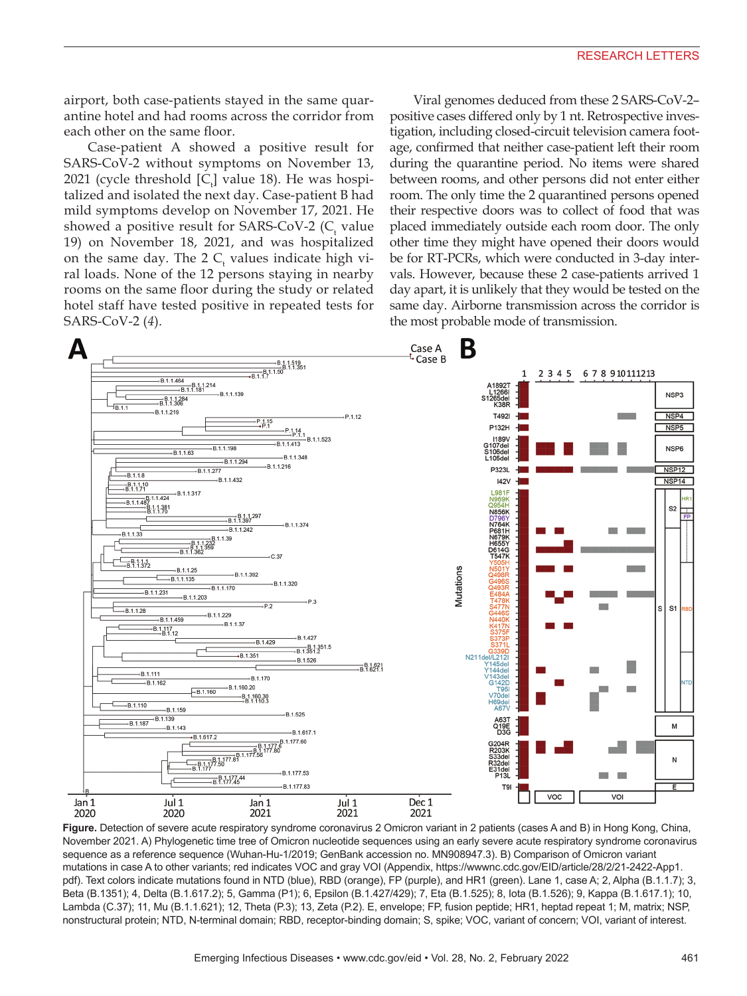airport, both case-patients stayed in the same quarantine hotel and had rooms across the corridor from each other on the same floor.

Case-patient A showed a positive result for SARS-CoV-2 without symptoms on November 13, 2021 (cycle threshold  $[C_{\text{t}}]$  value 18). He was hospitalized and isolated the next day. Case-patient B had mild symptoms develop on November 17, 2021. He showed a positive result for SARS-CoV-2 ( $C_{t}$  value 19) on November 18, 2021, and was hospitalized on the same day. The 2  $C_{t}$  values indicate high viral loads. None of the 12 persons staying in nearby rooms on the same floor during the study or related hotel staff have tested positive in repeated tests for SARS-CoV-2 (*4*).

Viral genomes deduced from these 2 SARS-CoV-2– positive cases differed only by 1 nt. Retrospective investigation, including closed-circuit television camera footage, confirmed that neither case-patient left their room during the quarantine period. No items were shared between rooms, and other persons did not enter either room. The only time the 2 quarantined persons opened their respective doors was to collect of food that was placed immediately outside each room door. The only other time they might have opened their doors would be for RT-PCRs, which were conducted in 3-day intervals. However, because these 2 case-patients arrived 1 day apart, it is unlikely that they would be tested on the same day. Airborne transmission across the corridor is the most probable mode of transmission.



**Figure.** Detection of severe acute respiratory syndrome coronavirus 2 Omicron variant in 2 patients (cases A and B) in Hong Kong, China, November 2021. A) Phylogenetic time tree of Omicron nucleotide sequences using an early severe acute respiratory syndrome coronavirus sequence as a reference sequence (Wuhan-Hu-1/2019; GenBank accession no. MN908947.3). B) Comparison of Omicron variant mutations in case A to other variants; red indicates VOC and gray VOI (Appendix, https://wwwnc.cdc.gov/EID/article/28/2/21-2422-App1. pdf). Text colors indicate mutations found in NTD (blue), RBD (orange), FP (purple), and HR1 (green). Lane 1, case A; 2, Alpha (B.1.1.7); 3, Beta (B.1351); 4, Delta (B.1.617.2); 5, Gamma (P1); 6, Epsilon (B.1.427/429); 7, Eta (B.1.525); 8, Iota (B.1.526); 9, Kappa (B.1.617.1); 10, Lambda (C.37); 11, Mu (B.1.1.621); 12, Theta (P.3); 13, Zeta (P.2). E, envelope; FP, fusion peptide; HR1, heptad repeat 1; M, matrix; NSP, nonstructural protein; NTD, N-terminal domain; RBD, receptor-binding domain; S, spike; VOC, variant of concern; VOI, variant of interest.